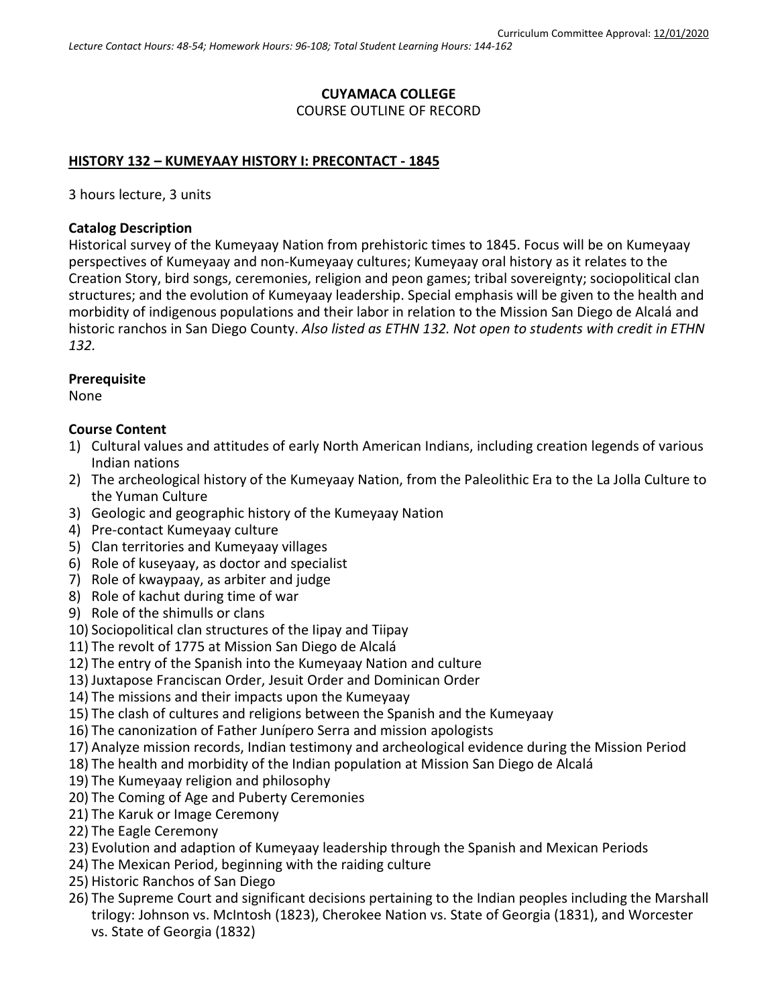# **CUYAMACA COLLEGE** COURSE OUTLINE OF RECORD

### **HISTORY 132 – KUMEYAAY HISTORY I: PRECONTACT - 1845**

3 hours lecture, 3 units

### **Catalog Description**

Historical survey of the Kumeyaay Nation from prehistoric times to 1845. Focus will be on Kumeyaay perspectives of Kumeyaay and non-Kumeyaay cultures; Kumeyaay oral history as it relates to the Creation Story, bird songs, ceremonies, religion and peon games; tribal sovereignty; sociopolitical clan structures; and the evolution of Kumeyaay leadership. Special emphasis will be given to the health and morbidity of indigenous populations and their labor in relation to the Mission San Diego de Alcalá and historic ranchos in San Diego County. *Also listed as ETHN 132. Not open to students with credit in ETHN 132.*

#### **Prerequisite**

None

### **Course Content**

- 1) Cultural values and attitudes of early North American Indians, including creation legends of various Indian nations
- 2) The archeological history of the Kumeyaay Nation, from the Paleolithic Era to the La Jolla Culture to the Yuman Culture
- 3) Geologic and geographic history of the Kumeyaay Nation
- 4) Pre-contact Kumeyaay culture
- 5) Clan territories and Kumeyaay villages
- 6) Role of kuseyaay, as doctor and specialist
- 7) Role of kwaypaay, as arbiter and judge
- 8) Role of kachut during time of war
- 9) Role of the shimulls or clans
- 10) Sociopolitical clan structures of the Iipay and Tiipay
- 11) The revolt of 1775 at Mission San Diego de Alcalá
- 12) The entry of the Spanish into the Kumeyaay Nation and culture
- 13) Juxtapose Franciscan Order, Jesuit Order and Dominican Order
- 14) The missions and their impacts upon the Kumeyaay
- 15) The clash of cultures and religions between the Spanish and the Kumeyaay
- 16) The canonization of Father Junípero Serra and mission apologists
- 17) Analyze mission records, Indian testimony and archeological evidence during the Mission Period
- 18) The health and morbidity of the Indian population at Mission San Diego de Alcalá
- 19) The Kumeyaay religion and philosophy
- 20) The Coming of Age and Puberty Ceremonies
- 21) The Karuk or Image Ceremony
- 22) The Eagle Ceremony
- 23) Evolution and adaption of Kumeyaay leadership through the Spanish and Mexican Periods
- 24) The Mexican Period, beginning with the raiding culture
- 25) Historic Ranchos of San Diego
- 26) The Supreme Court and significant decisions pertaining to the Indian peoples including the Marshall trilogy: Johnson vs. McIntosh (1823), Cherokee Nation vs. State of Georgia (1831), and Worcester vs. State of Georgia (1832)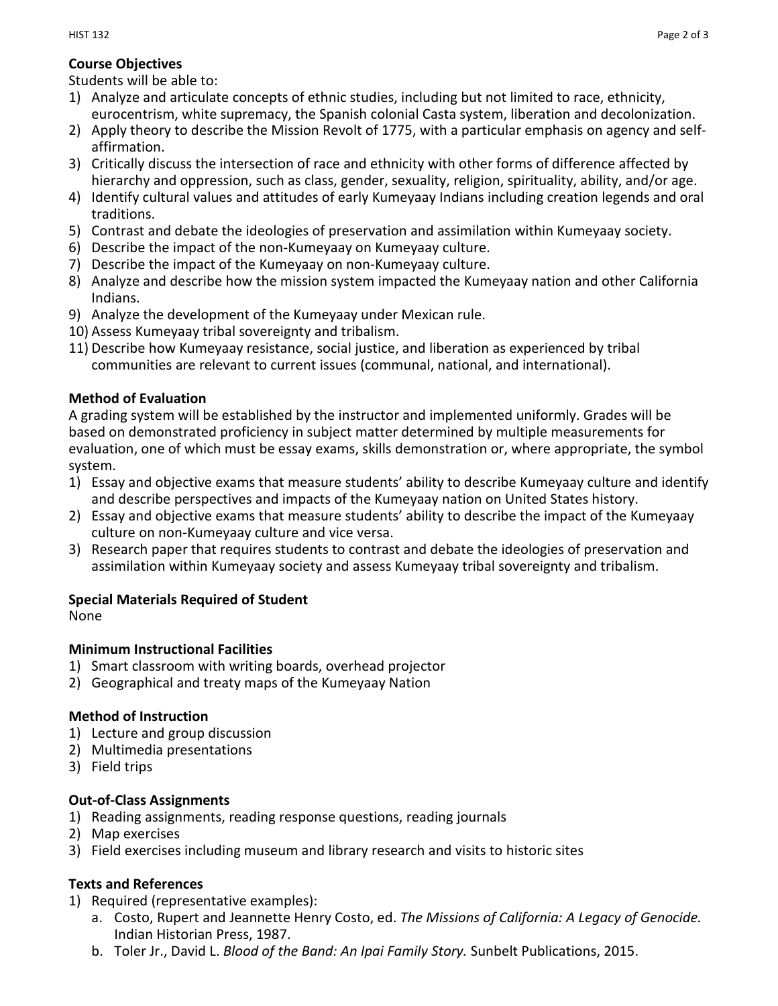# **Course Objectives**

Students will be able to:

- 1) Analyze and articulate concepts of ethnic studies, including but not limited to race, ethnicity, eurocentrism, white supremacy, the Spanish colonial Casta system, liberation and decolonization.
- 2) Apply theory to describe the Mission Revolt of 1775, with a particular emphasis on agency and selfaffirmation.
- 3) Critically discuss the intersection of race and ethnicity with other forms of difference affected by hierarchy and oppression, such as class, gender, sexuality, religion, spirituality, ability, and/or age.
- 4) Identify cultural values and attitudes of early Kumeyaay Indians including creation legends and oral traditions.
- 5) Contrast and debate the ideologies of preservation and assimilation within Kumeyaay society.
- 6) Describe the impact of the non-Kumeyaay on Kumeyaay culture.
- 7) Describe the impact of the Kumeyaay on non-Kumeyaay culture.
- 8) Analyze and describe how the mission system impacted the Kumeyaay nation and other California Indians.
- 9) Analyze the development of the Kumeyaay under Mexican rule.
- 10) Assess Kumeyaay tribal sovereignty and tribalism.
- 11) Describe how Kumeyaay resistance, social justice, and liberation as experienced by tribal communities are relevant to current issues (communal, national, and international).

## **Method of Evaluation**

A grading system will be established by the instructor and implemented uniformly. Grades will be based on demonstrated proficiency in subject matter determined by multiple measurements for evaluation, one of which must be essay exams, skills demonstration or, where appropriate, the symbol system.

- 1) Essay and objective exams that measure students' ability to describe Kumeyaay culture and identify and describe perspectives and impacts of the Kumeyaay nation on United States history.
- 2) Essay and objective exams that measure students' ability to describe the impact of the Kumeyaay culture on non-Kumeyaay culture and vice versa.
- 3) Research paper that requires students to contrast and debate the ideologies of preservation and assimilation within Kumeyaay society and assess Kumeyaay tribal sovereignty and tribalism.

### **Special Materials Required of Student**

None

### **Minimum Instructional Facilities**

- 1) Smart classroom with writing boards, overhead projector
- 2) Geographical and treaty maps of the Kumeyaay Nation

### **Method of Instruction**

- 1) Lecture and group discussion
- 2) Multimedia presentations
- 3) Field trips

## **Out-of-Class Assignments**

- 1) Reading assignments, reading response questions, reading journals
- 2) Map exercises
- 3) Field exercises including museum and library research and visits to historic sites

### **Texts and References**

- 1) Required (representative examples):
	- a. Costo, Rupert and Jeannette Henry Costo, ed. *The Missions of California: A Legacy of Genocide.* Indian Historian Press, 1987.
	- b. Toler Jr., David L. *Blood of the Band: An Ipai Family Story.* Sunbelt Publications, 2015.